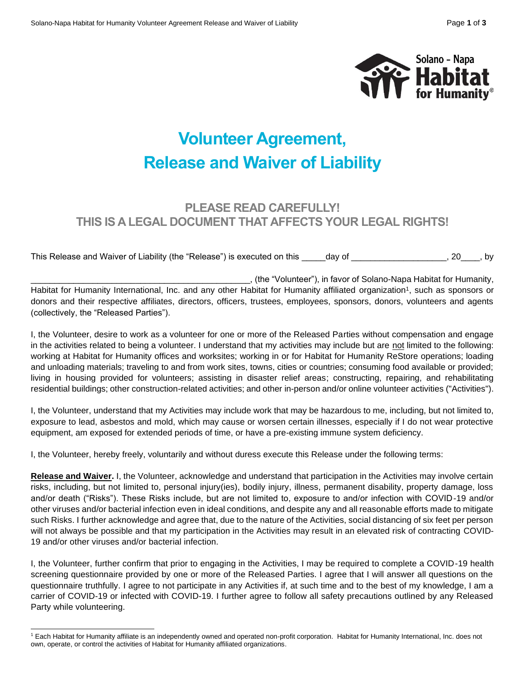

## **Volunteer Agreement, Release and Waiver of Liability**

## **PLEASE READ CAREFULLY! THIS IS A LEGAL DOCUMENT THAT AFFECTS YOUR LEGAL RIGHTS!**

This Release and Waiver of Liability (the "Release") is executed on this \_\_\_\_\_day of \_\_\_\_\_\_\_\_\_\_\_\_\_\_\_\_\_\_\_, 20\_\_\_\_, by

\_\_\_\_\_\_\_\_\_\_\_\_\_\_\_\_\_\_\_\_\_\_\_\_\_\_\_\_\_\_\_\_\_\_\_\_\_\_\_\_\_\_\_\_\_\_, (the "Volunteer"), in favor of Solano-Napa Habitat for Humanity, Habitat for Humanity International, Inc. and any other Habitat for Humanity affiliated organization<sup>1</sup>, such as sponsors or donors and their respective affiliates, directors, officers, trustees, employees, sponsors, donors, volunteers and agents (collectively, the "Released Parties").

I, the Volunteer, desire to work as a volunteer for one or more of the Released Parties without compensation and engage in the activities related to being a volunteer. I understand that my activities may include but are not limited to the following: working at Habitat for Humanity offices and worksites; working in or for Habitat for Humanity ReStore operations; loading and unloading materials; traveling to and from work sites, towns, cities or countries; consuming food available or provided; living in housing provided for volunteers; assisting in disaster relief areas; constructing, repairing, and rehabilitating residential buildings; other construction-related activities; and other in-person and/or online volunteer activities ("Activities").

I, the Volunteer, understand that my Activities may include work that may be hazardous to me, including, but not limited to, exposure to lead, asbestos and mold, which may cause or worsen certain illnesses, especially if I do not wear protective equipment, am exposed for extended periods of time, or have a pre-existing immune system deficiency.

I, the Volunteer, hereby freely, voluntarily and without duress execute this Release under the following terms:

**Release and Waiver.** I, the Volunteer, acknowledge and understand that participation in the Activities may involve certain risks, including, but not limited to, personal injury(ies), bodily injury, illness, permanent disability, property damage, loss and/or death ("Risks"). These Risks include, but are not limited to, exposure to and/or infection with COVID-19 and/or other viruses and/or bacterial infection even in ideal conditions, and despite any and all reasonable efforts made to mitigate such Risks. I further acknowledge and agree that, due to the nature of the Activities, social distancing of six feet per person will not always be possible and that my participation in the Activities may result in an elevated risk of contracting COVID-19 and/or other viruses and/or bacterial infection.

I, the Volunteer, further confirm that prior to engaging in the Activities, I may be required to complete a COVID-19 health screening questionnaire provided by one or more of the Released Parties. I agree that I will answer all questions on the questionnaire truthfully. I agree to not participate in any Activities if, at such time and to the best of my knowledge, I am a carrier of COVID-19 or infected with COVID-19. I further agree to follow all safety precautions outlined by any Released Party while volunteering.

<sup>1</sup> Each Habitat for Humanity affiliate is an independently owned and operated non-profit corporation. Habitat for Humanity International, Inc. does not own, operate, or control the activities of Habitat for Humanity affiliated organizations.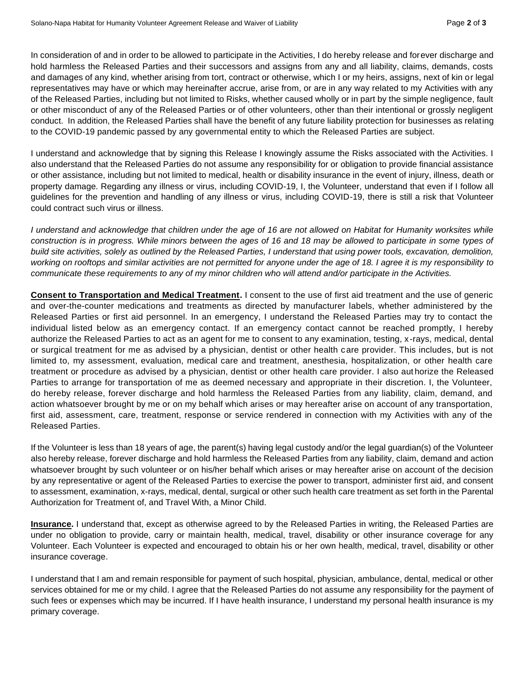In consideration of and in order to be allowed to participate in the Activities, I do hereby release and forever discharge and hold harmless the Released Parties and their successors and assigns from any and all liability, claims, demands, costs and damages of any kind, whether arising from tort, contract or otherwise, which I or my heirs, assigns, next of kin or legal representatives may have or which may hereinafter accrue, arise from, or are in any way related to my Activities with any of the Released Parties, including but not limited to Risks, whether caused wholly or in part by the simple negligence, fault or other misconduct of any of the Released Parties or of other volunteers, other than their intentional or grossly negligent conduct. In addition, the Released Parties shall have the benefit of any future liability protection for businesses as relating to the COVID-19 pandemic passed by any governmental entity to which the Released Parties are subject.

I understand and acknowledge that by signing this Release I knowingly assume the Risks associated with the Activities. I also understand that the Released Parties do not assume any responsibility for or obligation to provide financial assistance or other assistance, including but not limited to medical, health or disability insurance in the event of injury, illness, death or property damage. Regarding any illness or virus, including COVID-19, I, the Volunteer, understand that even if I follow all guidelines for the prevention and handling of any illness or virus, including COVID-19, there is still a risk that Volunteer could contract such virus or illness.

*I understand and acknowledge that children under the age of 16 are not allowed on Habitat for Humanity worksites while*  construction is in progress. While minors between the ages of 16 and 18 may be allowed to participate in some types of *build site activities, solely as outlined by the Released Parties, I understand that using power tools, excavation, demolition, working on rooftops and similar activities are not permitted for anyone under the age of 18. I agree it is my responsibility to communicate these requirements to any of my minor children who will attend and/or participate in the Activities.*

**Consent to Transportation and Medical Treatment.** I consent to the use of first aid treatment and the use of generic and over-the-counter medications and treatments as directed by manufacturer labels, whether administered by the Released Parties or first aid personnel. In an emergency, I understand the Released Parties may try to contact the individual listed below as an emergency contact. If an emergency contact cannot be reached promptly, I hereby authorize the Released Parties to act as an agent for me to consent to any examination, testing, x-rays, medical, dental or surgical treatment for me as advised by a physician, dentist or other health care provider. This includes, but is not limited to, my assessment, evaluation, medical care and treatment, anesthesia, hospitalization, or other health care treatment or procedure as advised by a physician, dentist or other health care provider. I also aut horize the Released Parties to arrange for transportation of me as deemed necessary and appropriate in their discretion. I, the Volunteer, do hereby release, forever discharge and hold harmless the Released Parties from any liability, claim, demand, and action whatsoever brought by me or on my behalf which arises or may hereafter arise on account of any transportation, first aid, assessment, care, treatment, response or service rendered in connection with my Activities with any of the Released Parties.

If the Volunteer is less than 18 years of age, the parent(s) having legal custody and/or the legal guardian(s) of the Volunteer also hereby release, forever discharge and hold harmless the Released Parties from any liability, claim, demand and action whatsoever brought by such volunteer or on his/her behalf which arises or may hereafter arise on account of the decision by any representative or agent of the Released Parties to exercise the power to transport, administer first aid, and consent to assessment, examination, x-rays, medical, dental, surgical or other such health care treatment as set forth in the Parental Authorization for Treatment of, and Travel With, a Minor Child.

**Insurance.** I understand that, except as otherwise agreed to by the Released Parties in writing, the Released Parties are under no obligation to provide, carry or maintain health, medical, travel, disability or other insurance coverage for any Volunteer. Each Volunteer is expected and encouraged to obtain his or her own health, medical, travel, disability or other insurance coverage.

I understand that I am and remain responsible for payment of such hospital, physician, ambulance, dental, medical or other services obtained for me or my child. I agree that the Released Parties do not assume any responsibility for the payment of such fees or expenses which may be incurred. If I have health insurance, I understand my personal health insurance is my primary coverage.